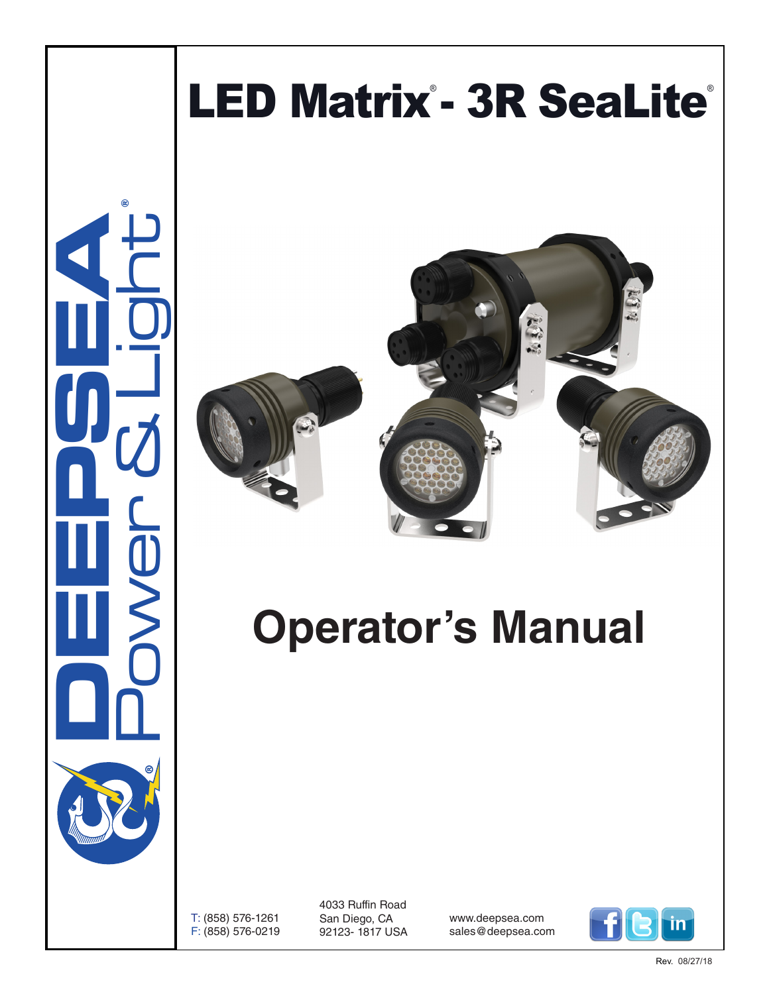

Rev. 08/27/18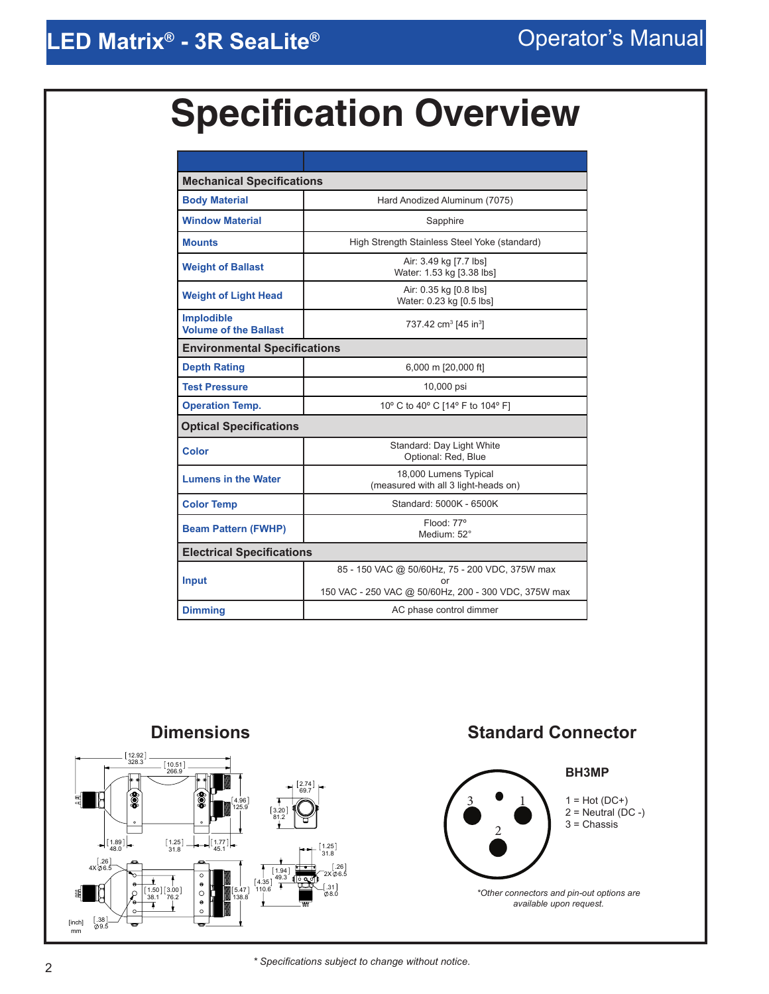# **Specification Overview**

| <b>Mechanical Specifications</b>                  |                                                                                                        |  |  |  |
|---------------------------------------------------|--------------------------------------------------------------------------------------------------------|--|--|--|
| <b>Body Material</b>                              | Hard Anodized Aluminum (7075)                                                                          |  |  |  |
| <b>Window Material</b>                            | Sapphire                                                                                               |  |  |  |
| <b>Mounts</b>                                     | High Strength Stainless Steel Yoke (standard)                                                          |  |  |  |
| <b>Weight of Ballast</b>                          | Air: 3.49 kg [7.7 lbs]<br>Water: 1.53 kg [3.38 lbs]                                                    |  |  |  |
| <b>Weight of Light Head</b>                       | Air: 0.35 kg [0.8 lbs]<br>Water: 0.23 kg [0.5 lbs]                                                     |  |  |  |
| <b>Implodible</b><br><b>Volume of the Ballast</b> | 737.42 cm <sup>3</sup> [45 in <sup>3</sup> ]                                                           |  |  |  |
| <b>Environmental Specifications</b>               |                                                                                                        |  |  |  |
| <b>Depth Rating</b>                               | 6,000 m [20,000 ft]                                                                                    |  |  |  |
| <b>Test Pressure</b>                              | 10,000 psi                                                                                             |  |  |  |
| <b>Operation Temp.</b>                            | 10° C to 40° C [14° F to 104° F]                                                                       |  |  |  |
| <b>Optical Specifications</b>                     |                                                                                                        |  |  |  |
| <b>Color</b>                                      | Standard: Day Light White<br>Optional: Red, Blue                                                       |  |  |  |
| <b>Lumens in the Water</b>                        | 18,000 Lumens Typical<br>(measured with all 3 light-heads on)                                          |  |  |  |
| <b>Color Temp</b>                                 | Standard: 5000K - 6500K                                                                                |  |  |  |
| <b>Beam Pattern (FWHP)</b>                        | $F$ lood: $77^\circ$<br>Medium: 52°                                                                    |  |  |  |
| <b>Electrical Specifications</b>                  |                                                                                                        |  |  |  |
| <b>Input</b>                                      | 85 - 150 VAC @ 50/60Hz, 75 - 200 VDC, 375W max<br>150 VAC - 250 VAC @ 50/60Hz, 200 - 300 VDC, 375W max |  |  |  |
| <b>Dimming</b>                                    | AC phase control dimmer                                                                                |  |  |  |



*\* Specifications subject to change without notice*. 2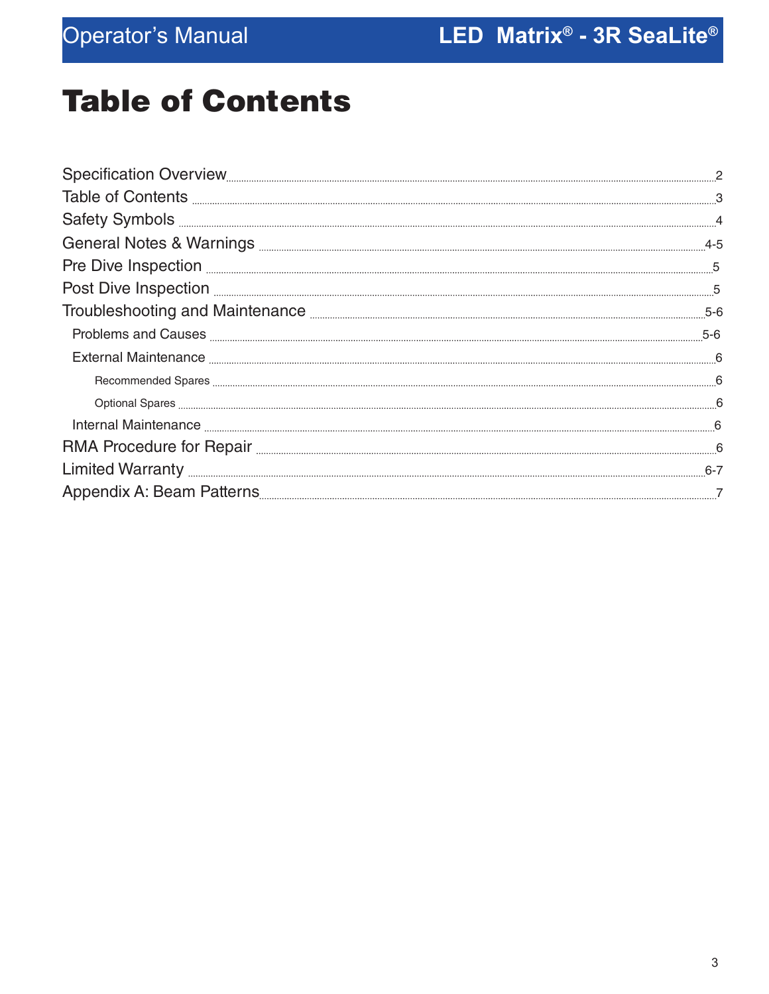# Table of Contents

| Table of Contents <b>Exercise Contents Exercise Contents Exercise Contents Exercise Contents</b> |       |
|--------------------------------------------------------------------------------------------------|-------|
| Safety Symbols <b>Elections</b> 4                                                                |       |
|                                                                                                  |       |
| Pre Dive Inspection <b>Exercise Construction</b> 5                                               |       |
| Post Dive Inspection <b>Election</b> 25 5                                                        |       |
|                                                                                                  | $5-6$ |
|                                                                                                  |       |
|                                                                                                  |       |
|                                                                                                  |       |
|                                                                                                  |       |
|                                                                                                  |       |
|                                                                                                  |       |
|                                                                                                  |       |
|                                                                                                  |       |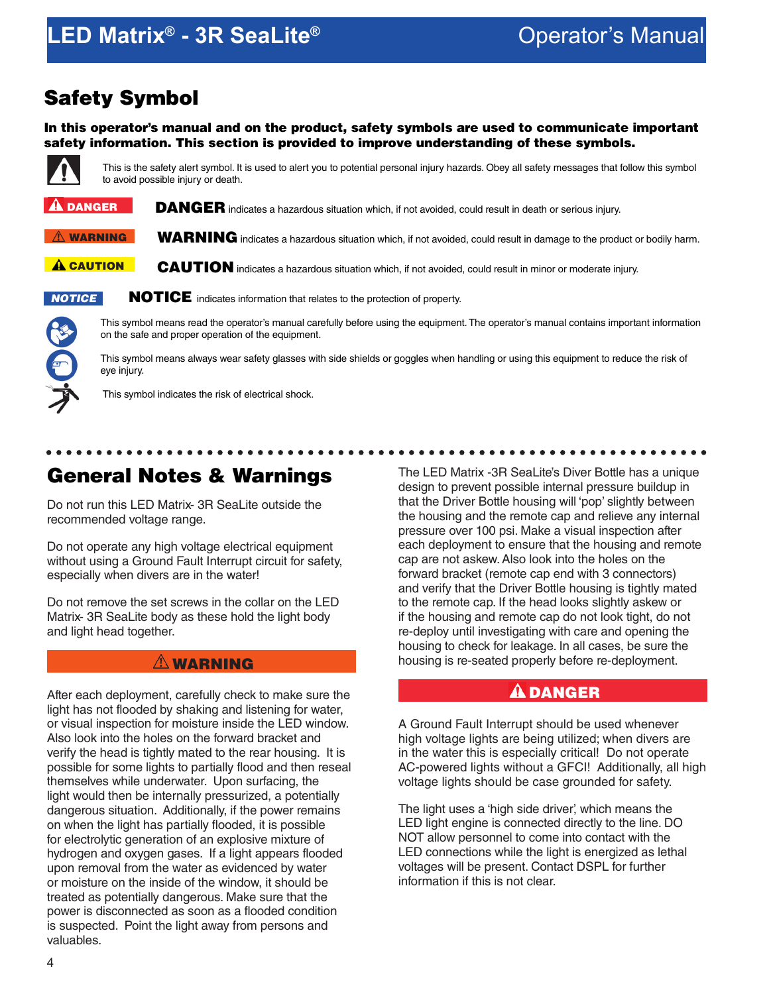## **LED Matrix<sup>®</sup> - 3R SeaLite<sup>®</sup> All the Convertision Convertision Manual**

### Safety Symbol

In this operator's manual and on the product, safety symbols are used to communicate important safety information. This section is provided to improve understanding of these symbols.



This is the safety alert symbol. It is used to alert you to potential personal injury hazards. Obey all safety messages that follow this symbol to avoid possible injury or death.

DANGER indicates a hazardous situation which, if not avoided, could result in death or serious injury.  $\mathbf{\hat{a}}$  danger

WARNING indicates a hazardous situation which, if not avoided, could result in damage to the product or bodily harm.  $\hat{N}$  warning

CAUTION indicates a hazardous situation which, if not avoided, could result in minor or moderate injury. A CAUTION



NOTICE indicates information that relates to the protection of property.

This symbol means read the operator's manual carefully before using the equipment. The operator's manual contains important information on the safe and proper operation of the equipment.

This symbol means always wear safety glasses with side shields or goggles when handling or using this equipment to reduce the risk of eye injury.

This symbol indicates the risk of electrical shock.

### General Notes & Warnings

Do not run this LED Matrix- 3R SeaLite outside the recommended voltage range.

Do not operate any high voltage electrical equipment without using a Ground Fault Interrupt circuit for safety, especially when divers are in the water!

Do not remove the set screws in the collar on the LED Matrix- 3R SeaLite body as these hold the light body and light head together.

#### $\triangle$  WARNING

After each deployment, carefully check to make sure the light has not flooded by shaking and listening for water, or visual inspection for moisture inside the LED window. Also look into the holes on the forward bracket and verify the head is tightly mated to the rear housing. It is possible for some lights to partially flood and then reseal themselves while underwater. Upon surfacing, the light would then be internally pressurized, a potentially dangerous situation. Additionally, if the power remains on when the light has partially flooded, it is possible for electrolytic generation of an explosive mixture of hydrogen and oxygen gases. If a light appears flooded upon removal from the water as evidenced by water or moisture on the inside of the window, it should be treated as potentially dangerous. Make sure that the power is disconnected as soon as a flooded condition is suspected. Point the light away from persons and valuables.

The LED Matrix -3R SeaLite's Diver Bottle has a unique design to prevent possible internal pressure buildup in that the Driver Bottle housing will 'pop' slightly between the housing and the remote cap and relieve any internal pressure over 100 psi. Make a visual inspection after each deployment to ensure that the housing and remote cap are not askew. Also look into the holes on the forward bracket (remote cap end with 3 connectors) and verify that the Driver Bottle housing is tightly mated to the remote cap. If the head looks slightly askew or if the housing and remote cap do not look tight, do not re-deploy until investigating with care and opening the housing to check for leakage. In all cases, be sure the housing is re-seated properly before re-deployment.

#### $\mathbf A$  DANGER

A Ground Fault Interrupt should be used whenever high voltage lights are being utilized; when divers are in the water this is especially critical! Do not operate AC-powered lights without a GFCI! Additionally, all high voltage lights should be case grounded for safety.

The light uses a 'high side driver', which means the LED light engine is connected directly to the line. DO NOT allow personnel to come into contact with the LED connections while the light is energized as lethal voltages will be present. Contact DSPL for further information if this is not clear.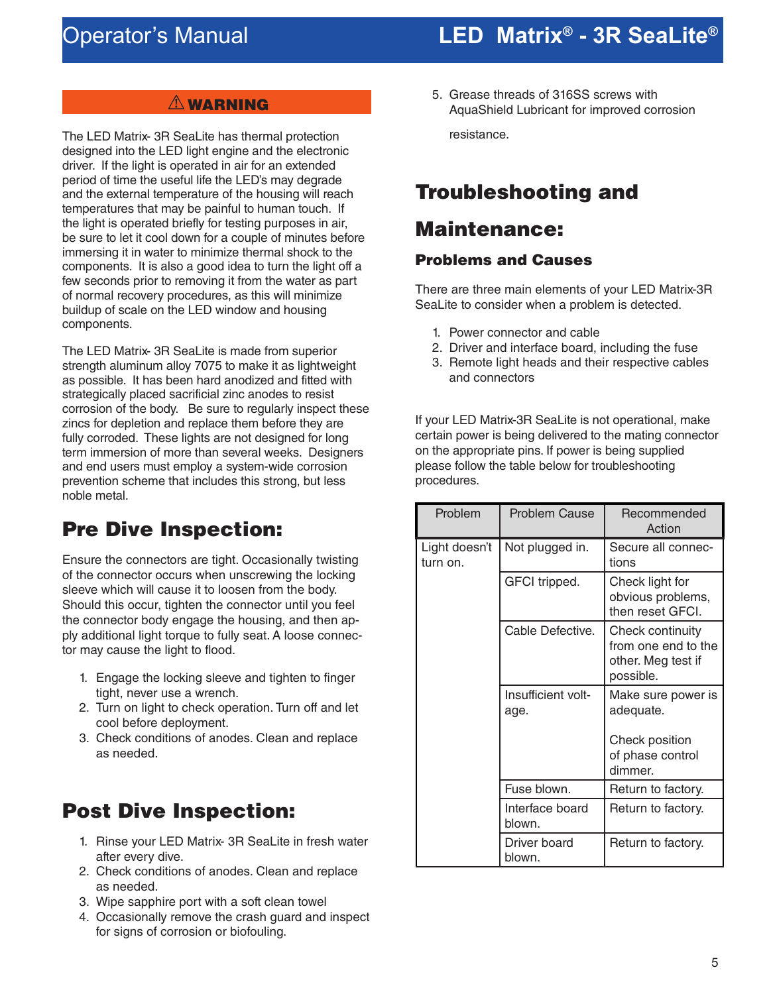#### **A** WARNING

The LED Matrix- 3R SeaLite has thermal protection designed into the LED light engine and the electronic driver. If the light is operated in air for an extended period of time the useful life the LED's may degrade and the external temperature of the housing will reach temperatures that may be painful to human touch. If the light is operated briefly for testing purposes in air, be sure to let it cool down for a couple of minutes before immersing it in water to minimize thermal shock to the components. It is also a good idea to turn the light off a few seconds prior to removing it from the water as part of normal recovery procedures, as this will minimize buildup of scale on the LED window and housing components.

The LED Matrix- 3R SeaLite is made from superior strength aluminum alloy 7075 to make it as lightweight as possible. It has been hard anodized and fitted with strategically placed sacrificial zinc anodes to resist corrosion of the body. Be sure to regularly inspect these zincs for depletion and replace them before they are fully corroded. These lights are not designed for long term immersion of more than several weeks. Designers and end users must employ a system-wide corrosion prevention scheme that includes this strong, but less noble metal.

### Pre Dive Inspection:

Ensure the connectors are tight. Occasionally twisting of the connector occurs when unscrewing the locking sleeve which will cause it to loosen from the body. Should this occur, tighten the connector until you feel the connector body engage the housing, and then apply additional light torque to fully seat. A loose connector may cause the light to flood.

- 1. Engage the locking sleeve and tighten to finger tight, never use a wrench.
- 2. Turn on light to check operation. Turn off and let cool before deployment.
- 3. Check conditions of anodes. Clean and replace as needed.

### Post Dive Inspection:

- 1. Rinse your LED Matrix- 3R SeaLite in fresh water after every dive.
- 2. Check conditions of anodes. Clean and replace as needed.
- 3. Wipe sapphire port with a soft clean towel
- 4. Occasionally remove the crash guard and inspect for signs of corrosion or biofouling.

5. Grease threads of 316SS screws with AquaShield Lubricant for improved corrosion resistance.

### Troubleshooting and

### Maintenance:

#### Problems and Causes

There are three main elements of your LED Matrix-3R SeaLite to consider when a problem is detected.

- 1. Power connector and cable
- 2. Driver and interface board, including the fuse
- 3. Remote light heads and their respective cables and connectors

If your LED Matrix-3R SeaLite is not operational, make certain power is being delivered to the mating connector on the appropriate pins. If power is being supplied please follow the table below for troubleshooting procedures.

| Problem                   | <b>Problem Cause</b>       | Recommended<br>Action                                                      |
|---------------------------|----------------------------|----------------------------------------------------------------------------|
| Light doesn't<br>turn on. | Not plugged in.            | Secure all connec-<br>tions                                                |
|                           | GFCI tripped.              | Check light for<br>obvious problems,<br>then reset GFCI.                   |
|                           | Cable Defective.           | Check continuity<br>from one end to the<br>other. Meg test if<br>possible. |
|                           | Insufficient volt-<br>age. | Make sure power is<br>adequate.                                            |
|                           |                            | Check position<br>of phase control<br>dimmer.                              |
|                           | Fuse blown.                | Return to factory.                                                         |
|                           | Interface board<br>blown.  | Return to factory.                                                         |
|                           | Driver board<br>blown.     | Return to factory.                                                         |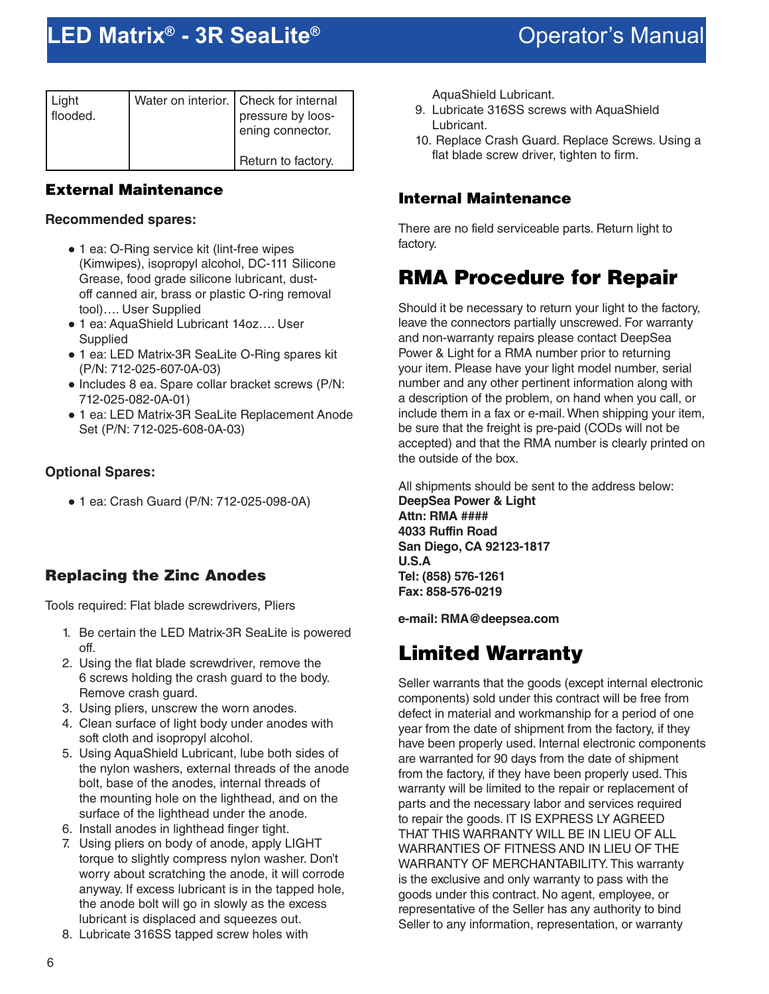| Light<br>flooded. | Water on interior.   Check for internal<br>pressure by loos-<br>ening connector. |
|-------------------|----------------------------------------------------------------------------------|
|                   | Return to factory.                                                               |

#### External Maintenance

#### **Recommended spares:**

- 1 ea: O-Ring service kit (lint-free wipes (Kimwipes), isopropyl alcohol, DC-111 Silicone Grease, food grade silicone lubricant, dustoff canned air, brass or plastic O-ring removal tool)…. User Supplied
- 1 ea: AquaShield Lubricant 14oz.... User **Supplied**
- 1 ea: LED Matrix-3R SeaLite O-Ring spares kit (P/N: 712-025-607-0A-03)
- Includes 8 ea. Spare collar bracket screws (P/N: 712-025-082-0A-01)
- 1 ea: LED Matrix-3R SeaLite Replacement Anode Set (P/N: 712-025-608-0A-03)

#### **Optional Spares:**

● 1 ea: Crash Guard (P/N: 712-025-098-0A)

#### Replacing the Zinc Anodes

Tools required: Flat blade screwdrivers, Pliers

- 1. Be certain the LED Matrix-3R SeaLite is powered off.
- 2. Using the flat blade screwdriver, remove the 6 screws holding the crash guard to the body. Remove crash guard.
- 3. Using pliers, unscrew the worn anodes.
- 4. Clean surface of light body under anodes with soft cloth and isopropyl alcohol.
- 5. Using AquaShield Lubricant, lube both sides of the nylon washers, external threads of the anode bolt, base of the anodes, internal threads of the mounting hole on the lighthead, and on the surface of the lighthead under the anode.
- 6. Install anodes in lighthead finger tight.
- 7. Using pliers on body of anode, apply LIGHT torque to slightly compress nylon washer. Don't worry about scratching the anode, it will corrode anyway. If excess lubricant is in the tapped hole, the anode bolt will go in slowly as the excess lubricant is displaced and squeezes out.
- 8. Lubricate 316SS tapped screw holes with

AquaShield Lubricant.

- 9. Lubricate 316SS screws with AquaShield Lubricant.
- 10. Replace Crash Guard. Replace Screws. Using a flat blade screw driver, tighten to firm.

#### Internal Maintenance

There are no field serviceable parts. Return light to factory.

### RMA Procedure for Repair

Should it be necessary to return your light to the factory, leave the connectors partially unscrewed. For warranty and non-warranty repairs please contact DeepSea Power & Light for a RMA number prior to returning your item. Please have your light model number, serial number and any other pertinent information along with a description of the problem, on hand when you call, or include them in a fax or e-mail. When shipping your item, be sure that the freight is pre-paid (CODs will not be accepted) and that the RMA number is clearly printed on the outside of the box.

All shipments should be sent to the address below: **DeepSea Power & Light Attn: RMA #### 4033 Ruffin Road San Diego, CA 92123-1817 U.S.A Tel: (858) 576-1261 Fax: 858-576-0219**

**e-mail: RMA@deepsea.com**

### Limited Warranty

Seller warrants that the goods (except internal electronic components) sold under this contract will be free from defect in material and workmanship for a period of one year from the date of shipment from the factory, if they have been properly used. Internal electronic components are warranted for 90 days from the date of shipment from the factory, if they have been properly used. This warranty will be limited to the repair or replacement of parts and the necessary labor and services required to repair the goods. IT IS EXPRESS LY AGREED THAT THIS WARRANTY WILL BE IN LIEU OF ALL WARRANTIES OF FITNESS AND IN LIEU OF THE WARRANTY OF MERCHANTABILITY. This warranty is the exclusive and only warranty to pass with the goods under this contract. No agent, employee, or representative of the Seller has any authority to bind Seller to any information, representation, or warranty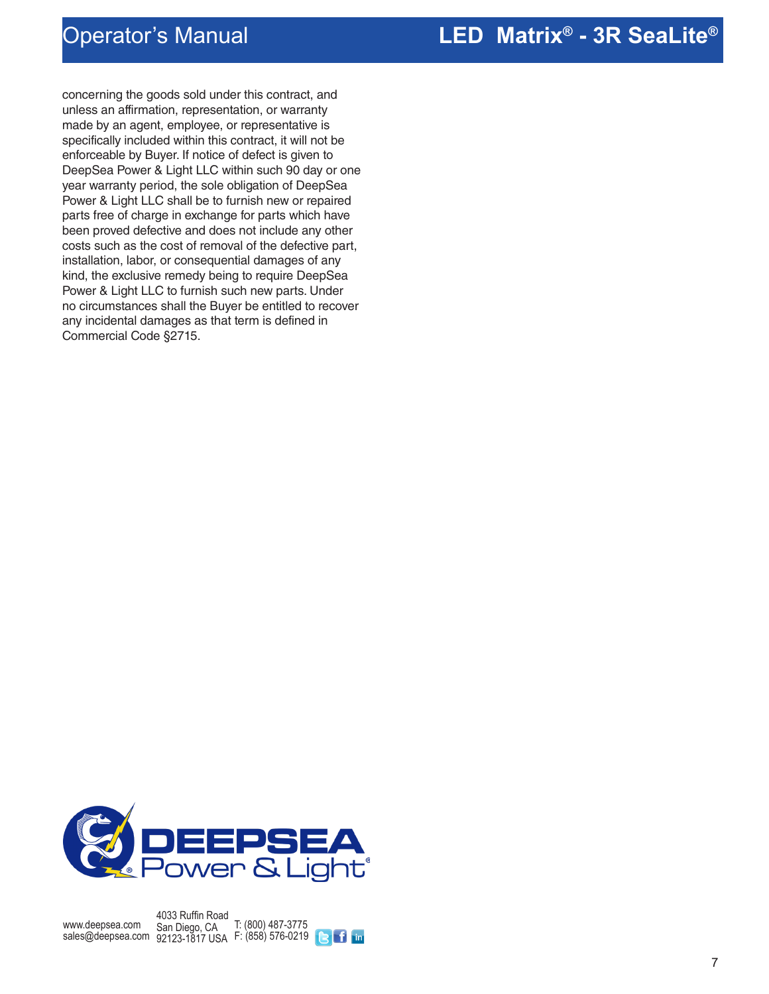### **LED Matrix® - 3R SeaLite** Operator's Manual **®**

concerning the goods sold under this contract, and unless an affirmation, representation, or warranty made by an agent, employee, or representative is specifically included within this contract, it will not be enforceable by Buyer. If notice of defect is given to DeepSea Power & Light LLC within such 90 day or one year warranty period, the sole obligation of DeepSea Power & Light LLC shall be to furnish new or repaired parts free of charge in exchange for parts which have been proved defective and does not include any other costs such as the cost of removal of the defective part, installation, labor, or consequential damages of any kind, the exclusive remedy being to require DeepSea Power & Light LLC to furnish such new parts. Under no circumstances shall the Buyer be entitled to recover any incidental damages as that term is defined in Commercial Code §2715.



www.deepsea.com sales@deepsea.com San Diego, CA 4033 Ruffin Road 92123-1817 USA T: (800) 487-3775 F: (858) 576-0219